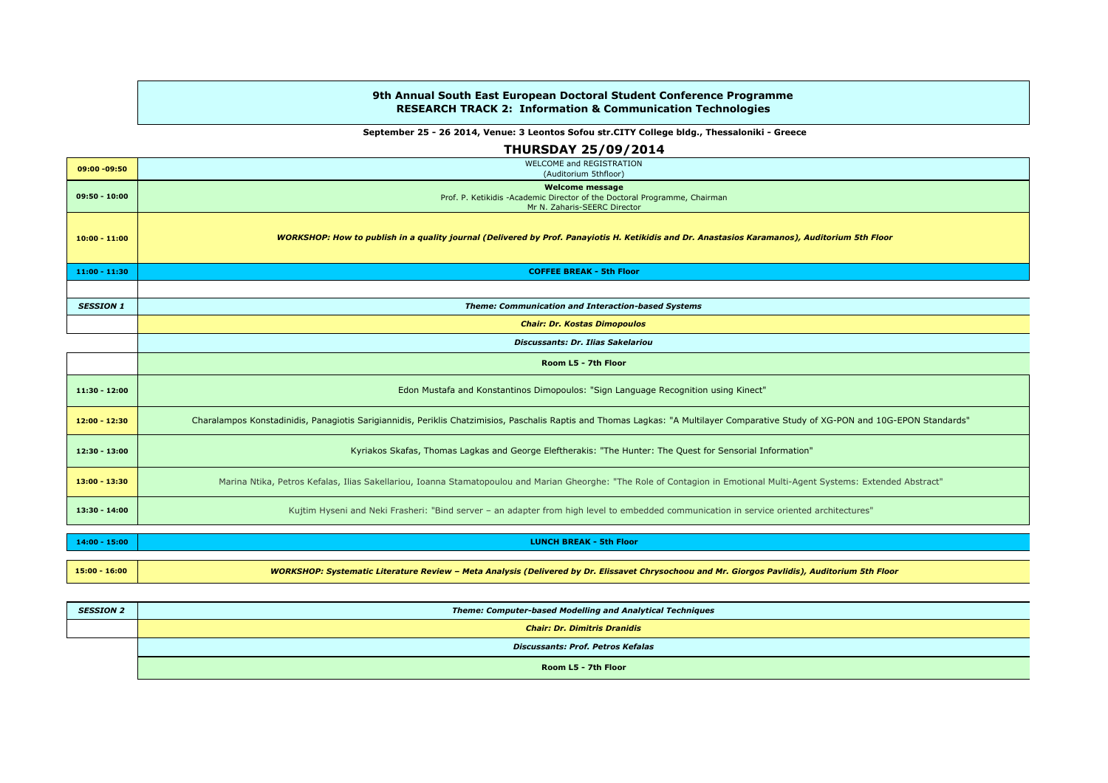## 9th Annual South East European Doctoral Student Conference ProgrammeRESEARCH TRACK 2: Information & Communication Technologies

## September 25 - 26 2014, Venue: 3 Leontos Sofou str.CITY College bldg., Thessaloniki - Greece

|                  | <b>THURSDAY 25/09/2014</b>                                                                                                                                                        |
|------------------|-----------------------------------------------------------------------------------------------------------------------------------------------------------------------------------|
| 09:00 -09:50     | <b>WELCOME and REGISTRATION</b><br>(Auditorium 5thfloor)                                                                                                                          |
| $09:50 - 10:00$  | <b>Welcome message</b><br>Prof. P. Ketikidis -Academic Director of the Doctoral Programme, Chairman<br>Mr N. Zaharis-SEERC Director                                               |
| $10:00 - 11:00$  | WORKSHOP: How to publish in a quality journal (Delivered by Prof. Panayiotis H. Ketikidis and Dr. Anastasios Karamanos), Auditorium 5th Floor                                     |
| $11:00 - 11:30$  | <b>COFFEE BREAK - 5th Floor</b>                                                                                                                                                   |
|                  |                                                                                                                                                                                   |
| <b>SESSION 1</b> | Theme: Communication and Interaction-based Systems                                                                                                                                |
|                  | <b>Chair: Dr. Kostas Dimopoulos</b>                                                                                                                                               |
|                  | <b>Discussants: Dr. Ilias Sakelariou</b>                                                                                                                                          |
|                  | Room L5 - 7th Floor                                                                                                                                                               |
| $11:30 - 12:00$  | Edon Mustafa and Konstantinos Dimopoulos: "Sign Language Recognition using Kinect"                                                                                                |
| $12:00 - 12:30$  | Charalampos Konstadinidis, Panagiotis Sarigiannidis, Periklis Chatzimisios, Paschalis Raptis and Thomas Lagkas: "A Multilayer Comparative Study of XG-PON and 10G-EPON Standards" |
| $12:30 - 13:00$  | Kyriakos Skafas, Thomas Lagkas and George Eleftherakis: "The Hunter: The Quest for Sensorial Information"                                                                         |
| $13:00 - 13:30$  | Marina Ntika, Petros Kefalas, Ilias Sakellariou, Ioanna Stamatopoulou and Marian Gheorghe: "The Role of Contagion in Emotional Multi-Agent Systems: Extended Abstract"            |
| $13:30 - 14:00$  | Kujtim Hyseni and Neki Frasheri: "Bind server - an adapter from high level to embedded communication in service oriented architectures"                                           |
|                  | <b>LUNCH BREAK - 5th Floor</b>                                                                                                                                                    |
| $14:00 - 15:00$  |                                                                                                                                                                                   |
|                  |                                                                                                                                                                                   |

| <b>SESSION 2</b> | Theme: Computer-based Modelling and Analytical Techniques |
|------------------|-----------------------------------------------------------|
|                  | <b>Chair: Dr. Dimitris Dranidis</b>                       |
|                  | Discussants: Prof. Petros Kefalas                         |
|                  | Room L5 - 7th Floor                                       |

15:00 - 16:00 WORKSHOP: Systematic Literature Review – Meta Analysis (Delivered by Dr. Elissavet Chrysochoou and Mr. Giorgos Pavlidis), Auditorium 5th Floor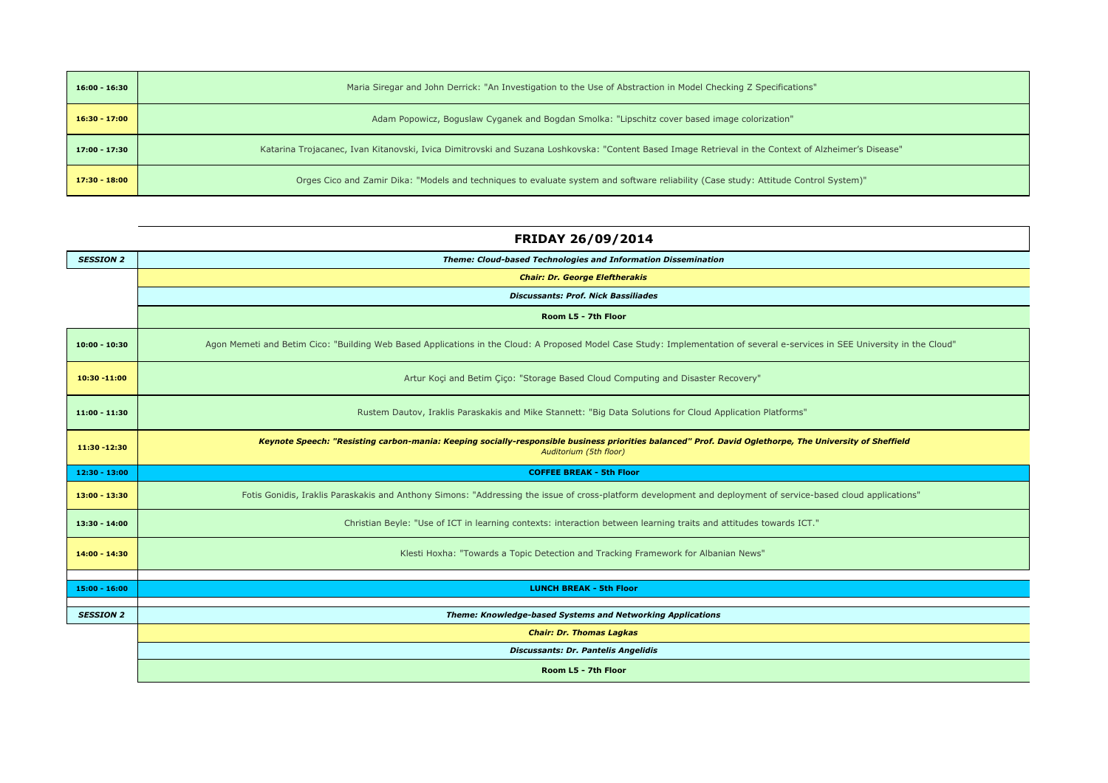| 16:00 - 16:30   | Maria Siregar and John Derrick: "An Investigation to the Use of Abstraction in Model Checking Z Specifications"                                      |
|-----------------|------------------------------------------------------------------------------------------------------------------------------------------------------|
| $16:30 - 17:00$ | Adam Popowicz, Boguslaw Cyganek and Bogdan Smolka: "Lipschitz cover based image colorization"                                                        |
| $17:00 - 17:30$ | Katarina Trojacanec, Ivan Kitanovski, Ivica Dimitrovski and Suzana Loshkovska: "Content Based Image Retrieval in the Context of Alzheimer's Disease" |
| $17:30 - 18:00$ | Orges Cico and Zamir Dika: "Models and techniques to evaluate system and software reliability (Case study: Attitude Control System)"                 |

|                  | FRIDAY 26/09/2014                                                                                                                                                                 |
|------------------|-----------------------------------------------------------------------------------------------------------------------------------------------------------------------------------|
| <b>SESSION 2</b> | Theme: Cloud-based Technologies and Information Dissemination                                                                                                                     |
|                  | <b>Chair: Dr. George Eleftherakis</b>                                                                                                                                             |
|                  | <b>Discussants: Prof. Nick Bassiliades</b>                                                                                                                                        |
|                  | Room L5 - 7th Floor                                                                                                                                                               |
| $10:00 - 10:30$  | Agon Memeti and Betim Cico: "Building Web Based Applications in the Cloud: A Proposed Model Case Study: Implementation of several e-services in SEE University in the Cloud"      |
| 10:30 -11:00     | Artur Koçi and Betim Çiço: "Storage Based Cloud Computing and Disaster Recovery"                                                                                                  |
| $11:00 - 11:30$  | Rustem Dautov, Iraklis Paraskakis and Mike Stannett: "Big Data Solutions for Cloud Application Platforms"                                                                         |
| 11:30 - 12:30    | Keynote Speech: "Resisting carbon-mania: Keeping socially-responsible business priorities balanced" Prof. David Oglethorpe, The University of Sheffield<br>Auditorium (5th floor) |
| 12:30 - 13:00    | <b>COFFEE BREAK - 5th Floor</b>                                                                                                                                                   |
| $13:00 - 13:30$  | Fotis Gonidis, Iraklis Paraskakis and Anthony Simons: "Addressing the issue of cross-platform development and deployment of service-based cloud applications"                     |
| $13:30 - 14:00$  | Christian Beyle: "Use of ICT in learning contexts: interaction between learning traits and attitudes towards ICT."                                                                |
| $14:00 - 14:30$  | Klesti Hoxha: "Towards a Topic Detection and Tracking Framework for Albanian News"                                                                                                |
|                  |                                                                                                                                                                                   |
| $15:00 - 16:00$  | <b>LUNCH BREAK - 5th Floor</b>                                                                                                                                                    |
| <b>SESSION 2</b> | Theme: Knowledge-based Systems and Networking Applications                                                                                                                        |
|                  | <b>Chair: Dr. Thomas Lagkas</b>                                                                                                                                                   |
|                  | <b>Discussants: Dr. Pantelis Angelidis</b>                                                                                                                                        |

Room L5 - 7th Floor